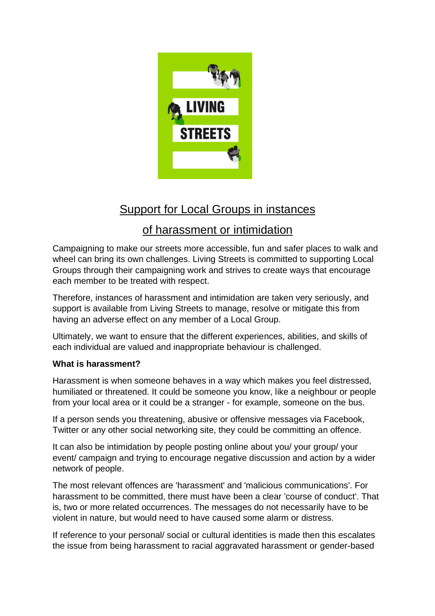

# Support for Local Groups in instances

# of harassment or intimidation

Campaigning to make our streets more accessible, fun and safer places to walk and wheel can bring its own challenges. Living Streets is committed to supporting Local Groups through their campaigning work and strives to create ways that encourage each member to be treated with respect.

Therefore, instances of harassment and intimidation are taken very seriously, and support is available from Living Streets to manage, resolve or mitigate this from having an adverse effect on any member of a Local Group.

Ultimately, we want to ensure that the different experiences, abilities, and skills of each individual are valued and inappropriate behaviour is challenged.

### **What is harassment?**

Harassment is when someone behaves in a way which makes you feel distressed, humiliated or threatened. It could be someone you know, like a neighbour or people from your local area or it could be a stranger - for example, someone on the bus.

If a person sends you threatening, abusive or offensive messages via Facebook, Twitter or any other social networking site, they could be committing an offence.

It can also be intimidation by people posting online about you/ your group/ your event/ campaign and trying to encourage negative discussion and action by a wider network of people.

The most relevant offences are 'harassment' and 'malicious communications'. For harassment to be committed, there must have been a clear 'course of conduct'. That is, two or more related occurrences. The messages do not necessarily have to be violent in nature, but would need to have caused some alarm or distress.

If reference to your personal/ social or cultural identities is made then this escalates the issue from being harassment to racial aggravated harassment or gender-based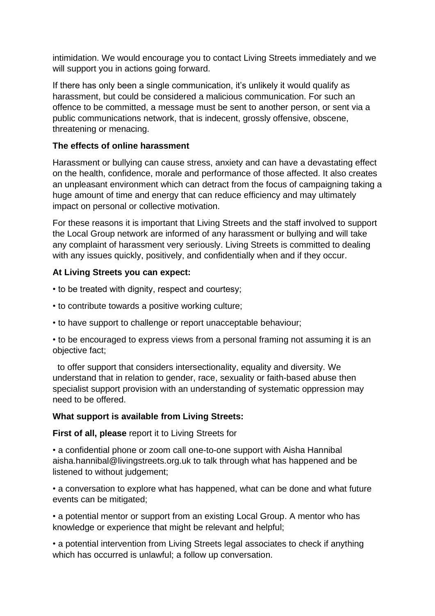intimidation. We would encourage you to contact Living Streets immediately and we will support you in actions going forward.

If there has only been a single communication, it's unlikely it would qualify as harassment, but could be considered a malicious communication. For such an offence to be committed, a message must be sent to another person, or sent via a public communications network, that is indecent, grossly offensive, obscene, threatening or menacing.

#### **The effects of online harassment**

Harassment or bullying can cause stress, anxiety and can have a devastating effect on the health, confidence, morale and performance of those affected. It also creates an unpleasant environment which can detract from the focus of campaigning taking a huge amount of time and energy that can reduce efficiency and may ultimately impact on personal or collective motivation.

For these reasons it is important that Living Streets and the staff involved to support the Local Group network are informed of any harassment or bullying and will take any complaint of harassment very seriously. Living Streets is committed to dealing with any issues quickly, positively, and confidentially when and if they occur.

#### **At Living Streets you can expect:**

• to be treated with dignity, respect and courtesy;

- to contribute towards a positive working culture;
- to have support to challenge or report unacceptable behaviour;

• to be encouraged to express views from a personal framing not assuming it is an objective fact;

 to offer support that considers intersectionality, equality and diversity. We understand that in relation to gender, race, sexuality or faith-based abuse then specialist support provision with an understanding of systematic oppression may need to be offered.

### **What support is available from Living Streets:**

**First of all, please** report it to Living Streets for

• a confidential phone or zoom call one-to-one support with Aisha Hannibal aisha.hannibal@livingstreets.org.uk to talk through what has happened and be listened to without judgement;

• a conversation to explore what has happened, what can be done and what future events can be mitigated;

• a potential mentor or support from an existing Local Group. A mentor who has knowledge or experience that might be relevant and helpful;

• a potential intervention from Living Streets legal associates to check if anything which has occurred is unlawful; a follow up conversation.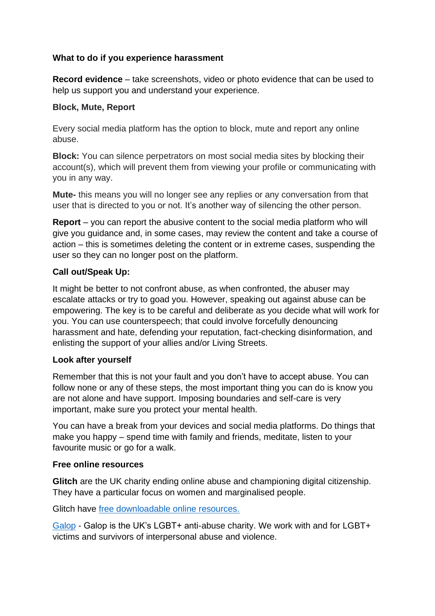### **What to do if you experience harassment**

**Record evidence** – take screenshots, video or photo evidence that can be used to help us support you and understand your experience.

### **Block, Mute, Report**

Every social media platform has the option to block, mute and report any online abuse.

**Block:** You can silence perpetrators on most social media sites by blocking their account(s), which will prevent them from viewing your profile or communicating with you in any way.

**Mute-** this means you will no longer see any replies or any conversation from that user that is directed to you or not. It's another way of silencing the other person.

**Report** – you can report the abusive content to the social media platform who will give you guidance and, in some cases, may review the content and take a course of action – this is sometimes deleting the content or in extreme cases, suspending the user so they can no longer post on the platform.

## **Call out/Speak Up:**

It might be better to not confront abuse, as when confronted, the abuser may escalate attacks or try to goad you. However, speaking out against abuse can be empowering. The key is to be careful and deliberate as you decide what will work for you. You can use counterspeech; that could involve forcefully denouncing harassment and hate, defending your reputation, fact-checking disinformation, and enlisting the support of your allies and/or Living Streets.

### **Look after yourself**

Remember that this is not your fault and you don't have to accept abuse. You can follow none or any of these steps, the most important thing you can do is know you are not alone and have support. Imposing boundaries and self-care is very important, make sure you protect your mental health.

You can have a break from your devices and social media platforms. Do things that make you happy – spend time with family and friends, meditate, listen to your favourite music or go for a walk.

### **Free online resources**

**Glitch** are the UK charity ending online abuse and championing digital citizenship. They have a particular focus on women and marginalised people.

Glitch have [free downloadable online resources.](https://glitchcharity.co.uk/resources/)

[Galop](https://galop.org.uk/) - Galop is the UK's LGBT+ anti-abuse charity. We work with and for LGBT+ victims and survivors of interpersonal abuse and violence.